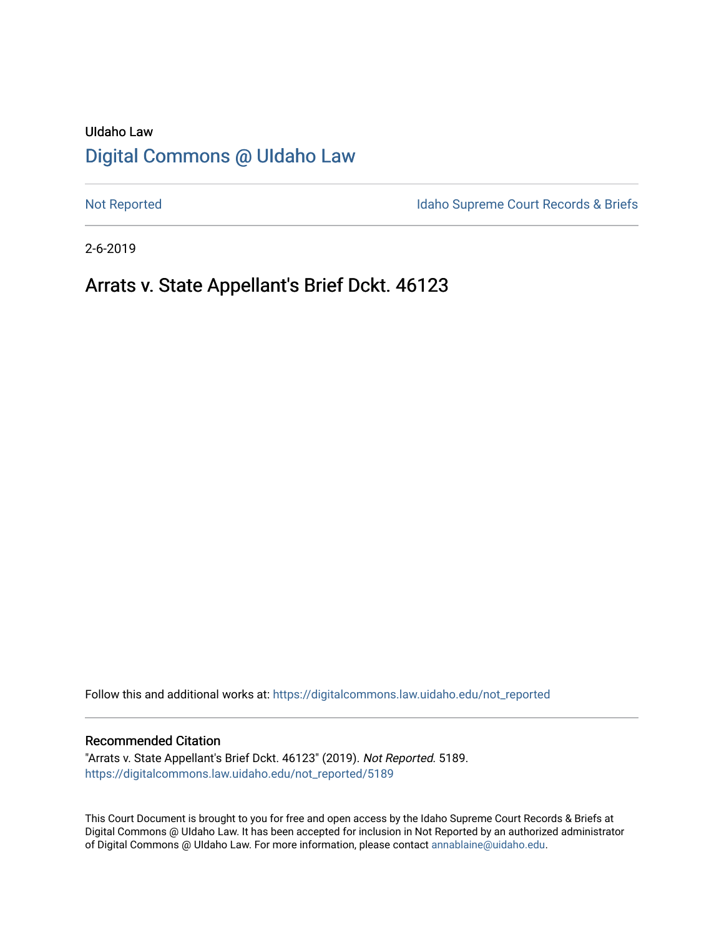# UIdaho Law [Digital Commons @ UIdaho Law](https://digitalcommons.law.uidaho.edu/)

[Not Reported](https://digitalcommons.law.uidaho.edu/not_reported) **Idaho Supreme Court Records & Briefs** 

2-6-2019

# Arrats v. State Appellant's Brief Dckt. 46123

Follow this and additional works at: [https://digitalcommons.law.uidaho.edu/not\\_reported](https://digitalcommons.law.uidaho.edu/not_reported?utm_source=digitalcommons.law.uidaho.edu%2Fnot_reported%2F5189&utm_medium=PDF&utm_campaign=PDFCoverPages) 

#### Recommended Citation

"Arrats v. State Appellant's Brief Dckt. 46123" (2019). Not Reported. 5189. [https://digitalcommons.law.uidaho.edu/not\\_reported/5189](https://digitalcommons.law.uidaho.edu/not_reported/5189?utm_source=digitalcommons.law.uidaho.edu%2Fnot_reported%2F5189&utm_medium=PDF&utm_campaign=PDFCoverPages)

This Court Document is brought to you for free and open access by the Idaho Supreme Court Records & Briefs at Digital Commons @ UIdaho Law. It has been accepted for inclusion in Not Reported by an authorized administrator of Digital Commons @ UIdaho Law. For more information, please contact [annablaine@uidaho.edu](mailto:annablaine@uidaho.edu).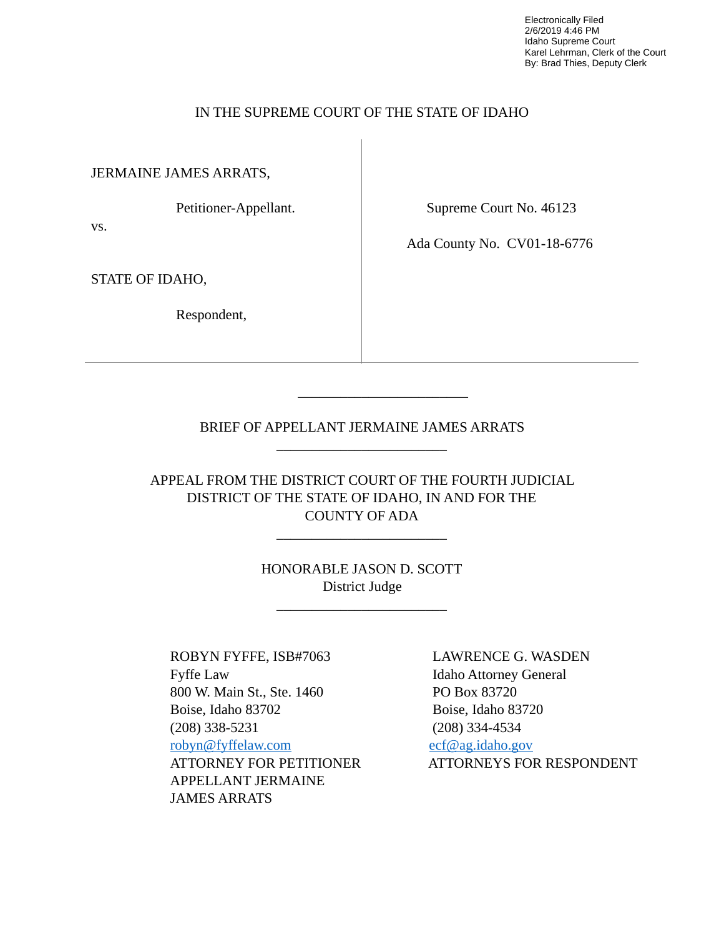Electronically Filed 2/6/2019 4:46 PM Idaho Supreme Court Karel Lehrman, Clerk of the Court By: Brad Thies, Deputy Clerk

### IN THE SUPREME COURT OF THE STATE OF IDAHO

JERMAINE JAMES ARRATS,

Petitioner-Appellant.

vs.

Supreme Court No. 46123

Ada County No. CV01-18-6776

STATE OF IDAHO,

Respondent,

### BRIEF OF APPELLANT JERMAINE JAMES ARRATS \_\_\_\_\_\_\_\_\_\_\_\_\_\_\_\_\_\_\_\_\_\_\_\_

 $\frac{1}{\sqrt{2}}$  ,  $\frac{1}{\sqrt{2}}$  ,  $\frac{1}{\sqrt{2}}$  ,  $\frac{1}{\sqrt{2}}$  ,  $\frac{1}{\sqrt{2}}$  ,  $\frac{1}{\sqrt{2}}$  ,  $\frac{1}{\sqrt{2}}$  ,  $\frac{1}{\sqrt{2}}$  ,  $\frac{1}{\sqrt{2}}$  ,  $\frac{1}{\sqrt{2}}$  ,  $\frac{1}{\sqrt{2}}$  ,  $\frac{1}{\sqrt{2}}$  ,  $\frac{1}{\sqrt{2}}$  ,  $\frac{1}{\sqrt{2}}$  ,  $\frac{1}{\sqrt{2}}$ 

APPEAL FROM THE DISTRICT COURT OF THE FOURTH JUDICIAL DISTRICT OF THE STATE OF IDAHO, IN AND FOR THE COUNTY OF ADA

\_\_\_\_\_\_\_\_\_\_\_\_\_\_\_\_\_\_\_\_\_\_\_\_

HONORABLE JASON D. SCOTT District Judge

\_\_\_\_\_\_\_\_\_\_\_\_\_\_\_\_\_\_\_\_\_\_\_\_

 ROBYN FYFFE, ISB#7063 LAWRENCE G. WASDEN Fyffe Law Idaho Attorney General 800 W. Main St., Ste. 1460 PO Box 83720 Boise, Idaho 83702 Boise, Idaho 83720 (208) 338-5231 (208) 334-4534 [robyn@fyffelaw.com](mailto:robyn@fyffelaw.com) [ecf@ag.idaho.gov](mailto:ecf@ag.idaho.gov)  APPELLANT JERMAINE JAMES ARRATS

ATTORNEY FOR PETITIONER ATTORNEYS FOR RESPONDENT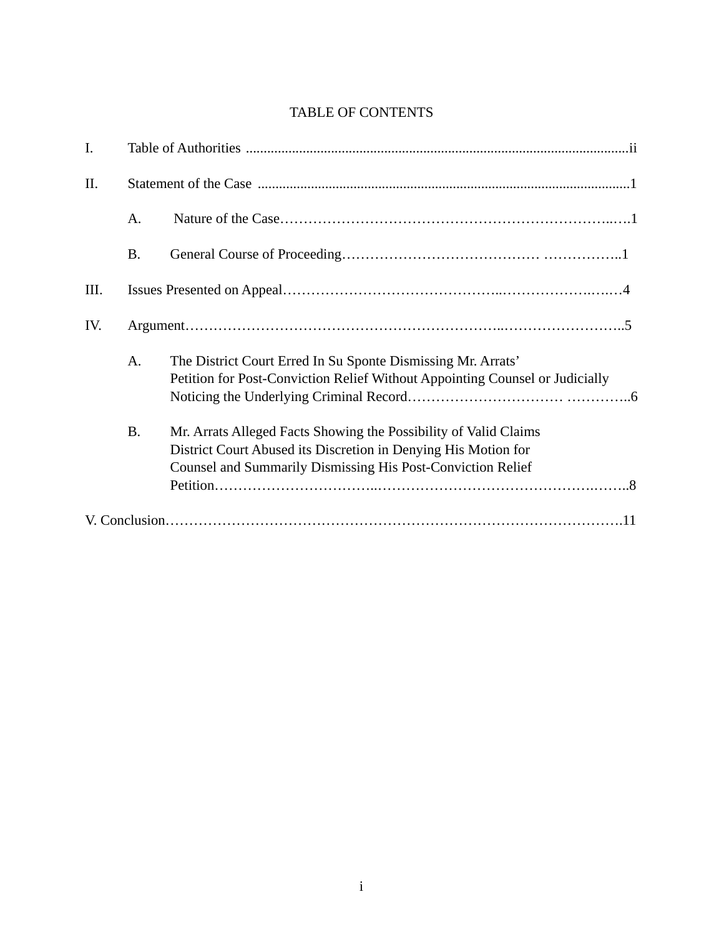## TABLE OF CONTENTS

| $\mathbf{I}$ . |           |                                                                                                                                                                                                   |  |
|----------------|-----------|---------------------------------------------------------------------------------------------------------------------------------------------------------------------------------------------------|--|
| II.            |           |                                                                                                                                                                                                   |  |
|                | A.        |                                                                                                                                                                                                   |  |
|                | <b>B.</b> |                                                                                                                                                                                                   |  |
| Ш.             |           |                                                                                                                                                                                                   |  |
| IV.            |           |                                                                                                                                                                                                   |  |
|                | A.        | The District Court Erred In Su Sponte Dismissing Mr. Arrats'<br>Petition for Post-Conviction Relief Without Appointing Counsel or Judicially                                                      |  |
|                | <b>B.</b> | Mr. Arrats Alleged Facts Showing the Possibility of Valid Claims<br>District Court Abused its Discretion in Denying His Motion for<br>Counsel and Summarily Dismissing His Post-Conviction Relief |  |
|                |           |                                                                                                                                                                                                   |  |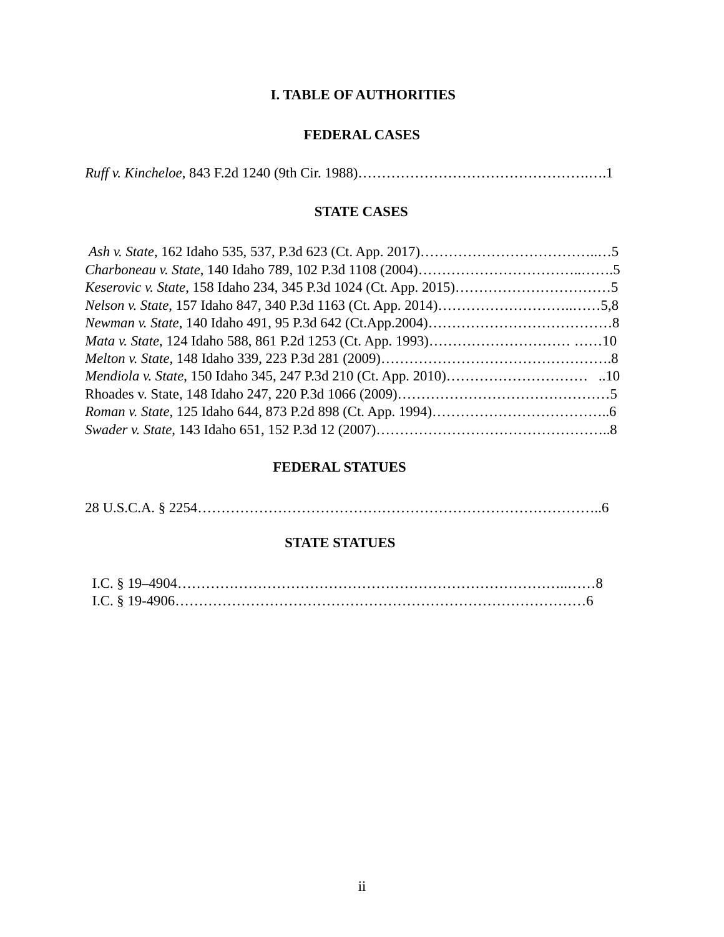## **I. TABLE OF AUTHORITIES**

## **FEDERAL CASES**

## **STATE CASES**

| <i>Keserovic v. State, 158 Idaho 234, 345 P.3d 1024 (Ct. App. 2015)</i> |  |
|-------------------------------------------------------------------------|--|
|                                                                         |  |
|                                                                         |  |
|                                                                         |  |
|                                                                         |  |
|                                                                         |  |
|                                                                         |  |
|                                                                         |  |
|                                                                         |  |
|                                                                         |  |

## **FEDERAL STATUES**

|--|--|--|

## **STATE STATUES**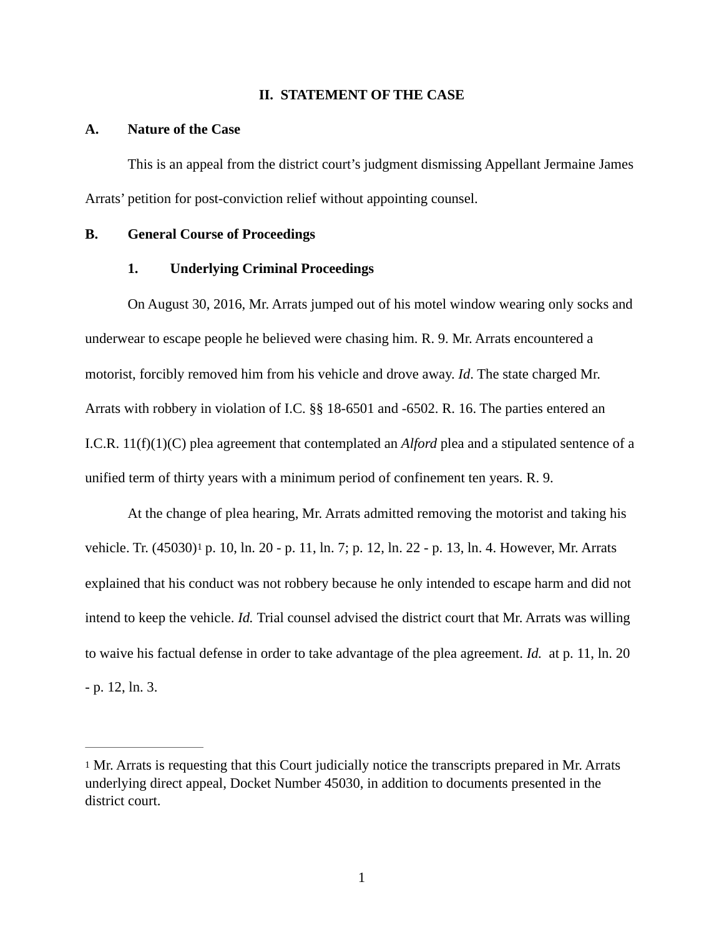#### **II. STATEMENT OF THE CASE**

#### **A. Nature of the Case**

This is an appeal from the district court's judgment dismissing Appellant Jermaine James Arrats' petition for post-conviction relief without appointing counsel.

#### **B. General Course of Proceedings**

#### **1. Underlying Criminal Proceedings**

On August 30, 2016, Mr. Arrats jumped out of his motel window wearing only socks and underwear to escape people he believed were chasing him. R. 9. Mr. Arrats encountered a motorist, forcibly removed him from his vehicle and drove away. *Id*. The state charged Mr. Arrats with robbery in violation of I.C. §§ 18-6501 and -6502. R. 16. The parties entered an I.C.R. 11(f)(1)(C) plea agreement that contemplated an *Alford* plea and a stipulated sentence of a unified term of thirty years with a minimum period of confinement ten years. R. 9.

<span id="page-4-1"></span> At the change of plea hearing, Mr. Arrats admitted removing the motorist and taking his vehicle.Tr. (45030)<sup>[1](#page-4-0)</sup> p. 10, ln. 20 - p. 11, ln. 7; p. 12, ln. 22 - p. 13, ln. 4. However, Mr. Arrats explained that his conduct was not robbery because he only intended to escape harm and did not intend to keep the vehicle. *Id.* Trial counsel advised the district court that Mr. Arrats was willing to waive his factual defense in order to take advantage of the plea agreement. *Id.* at p. 11, ln. 20 - p. 12, ln. 3.

<span id="page-4-0"></span>[<sup>1</sup>](#page-4-1) Mr. Arrats is requesting that this Court judicially notice the transcripts prepared in Mr. Arrats underlying direct appeal, Docket Number 45030, in addition to documents presented in the district court.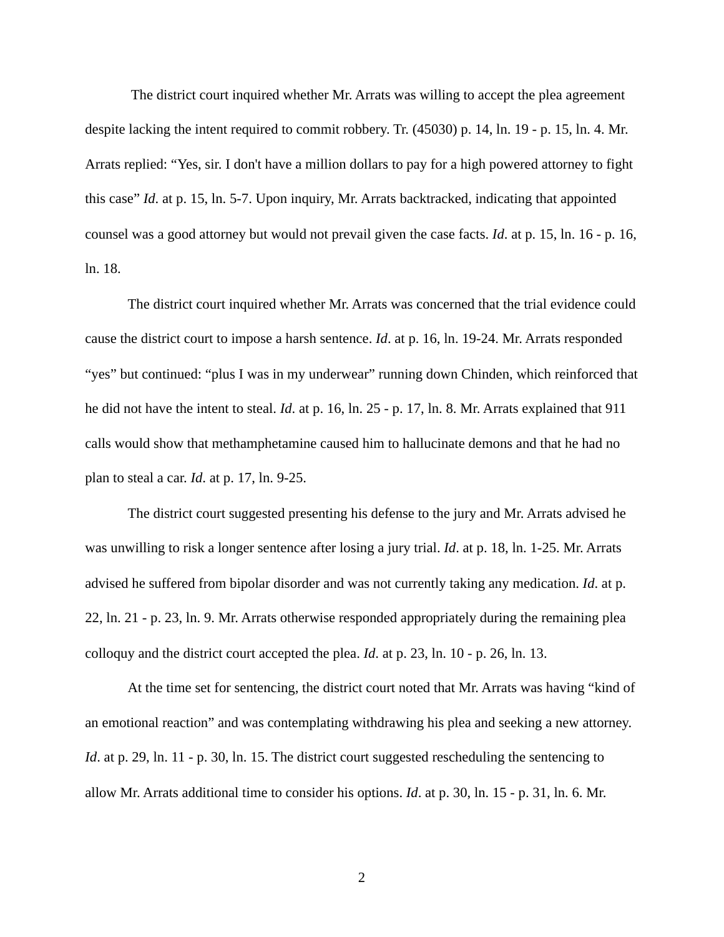The district court inquired whether Mr. Arrats was willing to accept the plea agreement despite lacking the intent required to commit robbery. Tr. (45030) p. 14, ln. 19 - p. 15, ln. 4. Mr. Arrats replied: "Yes, sir. I don't have a million dollars to pay for a high powered attorney to fight this case" *Id*. at p. 15, ln. 5-7. Upon inquiry, Mr. Arrats backtracked, indicating that appointed counsel was a good attorney but would not prevail given the case facts. *Id*. at p. 15, ln. 16 - p. 16, ln. 18.

 The district court inquired whether Mr. Arrats was concerned that the trial evidence could cause the district court to impose a harsh sentence. *Id*. at p. 16, ln. 19-24. Mr. Arrats responded "yes" but continued: "plus I was in my underwear" running down Chinden, which reinforced that he did not have the intent to steal. *Id*. at p. 16, ln. 25 - p. 17, ln. 8. Mr. Arrats explained that 911 calls would show that methamphetamine caused him to hallucinate demons and that he had no plan to steal a car. *Id*. at p. 17, ln. 9-25.

 The district court suggested presenting his defense to the jury and Mr. Arrats advised he was unwilling to risk a longer sentence after losing a jury trial. *Id*. at p. 18, ln. 1-25. Mr. Arrats advised he suffered from bipolar disorder and was not currently taking any medication. *Id*. at p. 22, ln. 21 - p. 23, ln. 9. Mr. Arrats otherwise responded appropriately during the remaining plea colloquy and the district court accepted the plea. *Id*. at p. 23, ln. 10 - p. 26, ln. 13.

 At the time set for sentencing, the district court noted that Mr. Arrats was having "kind of an emotional reaction" and was contemplating withdrawing his plea and seeking a new attorney. *Id.* at p. 29, ln. 11 - p. 30, ln. 15. The district court suggested rescheduling the sentencing to allow Mr. Arrats additional time to consider his options. *Id*. at p. 30, ln. 15 - p. 31, ln. 6. Mr.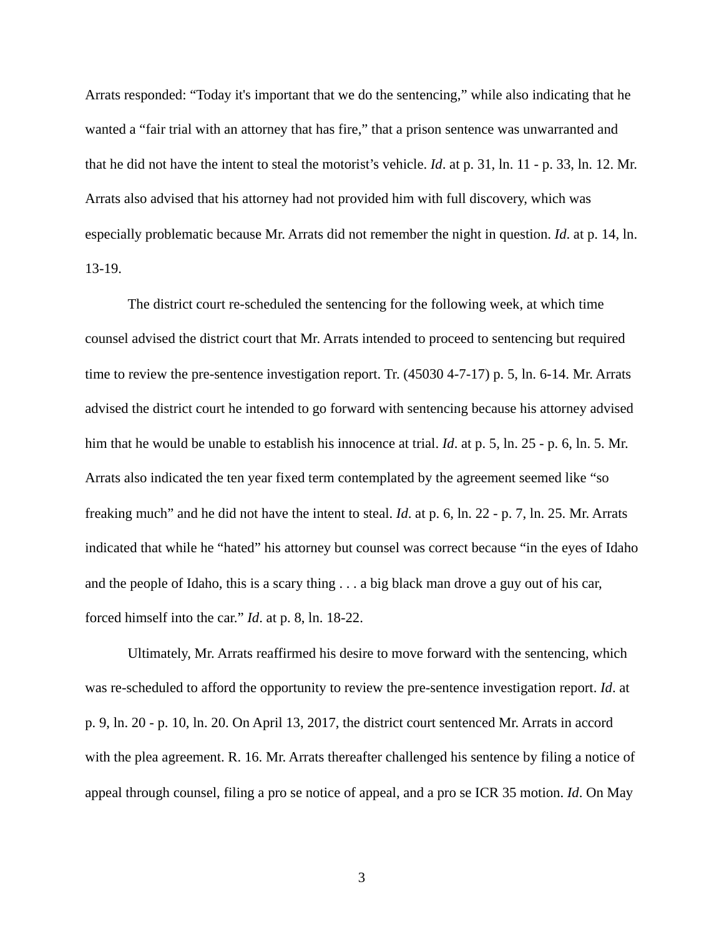Arrats responded: "Today it's important that we do the sentencing," while also indicating that he wanted a "fair trial with an attorney that has fire," that a prison sentence was unwarranted and that he did not have the intent to steal the motorist's vehicle. *Id*. at p. 31, ln. 11 - p. 33, ln. 12. Mr. Arrats also advised that his attorney had not provided him with full discovery, which was especially problematic because Mr. Arrats did not remember the night in question. *Id*. at p. 14, ln. 13-19.

 The district court re-scheduled the sentencing for the following week, at which time counsel advised the district court that Mr. Arrats intended to proceed to sentencing but required time to review the pre-sentence investigation report. Tr. (45030 4-7-17) p. 5, ln. 6-14. Mr. Arrats advised the district court he intended to go forward with sentencing because his attorney advised him that he would be unable to establish his innocence at trial. *Id*. at p. 5, ln. 25 - p. 6, ln. 5. Mr. Arrats also indicated the ten year fixed term contemplated by the agreement seemed like "so freaking much" and he did not have the intent to steal. *Id*. at p. 6, ln. 22 - p. 7, ln. 25. Mr. Arrats indicated that while he "hated" his attorney but counsel was correct because "in the eyes of Idaho and the people of Idaho, this is a scary thing . . . a big black man drove a guy out of his car, forced himself into the car." *Id*. at p. 8, ln. 18-22.

 Ultimately, Mr. Arrats reaffirmed his desire to move forward with the sentencing, which was re-scheduled to afford the opportunity to review the pre-sentence investigation report. *Id*. at p. 9, ln. 20 - p. 10, ln. 20. On April 13, 2017, the district court sentenced Mr. Arrats in accord with the plea agreement. R. 16. Mr. Arrats thereafter challenged his sentence by filing a notice of appeal through counsel, filing a pro se notice of appeal, and a pro se ICR 35 motion. *Id*. On May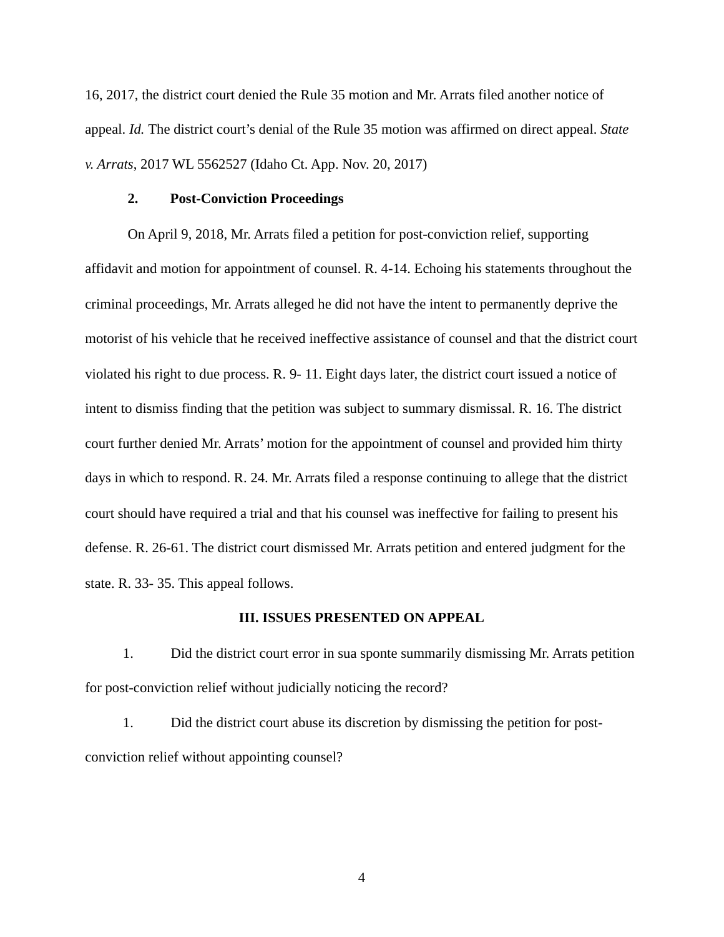16, 2017, the district court denied the Rule 35 motion and Mr. Arrats filed another notice of appeal. *Id.* The district court's denial of the Rule 35 motion was affirmed on direct appeal. *State v. Arrats*, 2017 WL 5562527 (Idaho Ct. App. Nov. 20, 2017)

#### **2. Post-Conviction Proceedings**

 On April 9, 2018, Mr. Arrats filed a petition for post-conviction relief, supporting affidavit and motion for appointment of counsel. R. 4-14. Echoing his statements throughout the criminal proceedings, Mr. Arrats alleged he did not have the intent to permanently deprive the motorist of his vehicle that he received ineffective assistance of counsel and that the district court violated his right to due process. R. 9- 11. Eight days later, the district court issued a notice of intent to dismiss finding that the petition was subject to summary dismissal. R. 16. The district court further denied Mr. Arrats' motion for the appointment of counsel and provided him thirty days in which to respond. R. 24. Mr. Arrats filed a response continuing to allege that the district court should have required a trial and that his counsel was ineffective for failing to present his defense. R. 26-61. The district court dismissed Mr. Arrats petition and entered judgment for the state. R. 33- 35. This appeal follows.

#### **III. ISSUES PRESENTED ON APPEAL**

1. Did the district court error in sua sponte summarily dismissing Mr. Arrats petition for post-conviction relief without judicially noticing the record?

1. Did the district court abuse its discretion by dismissing the petition for postconviction relief without appointing counsel?

4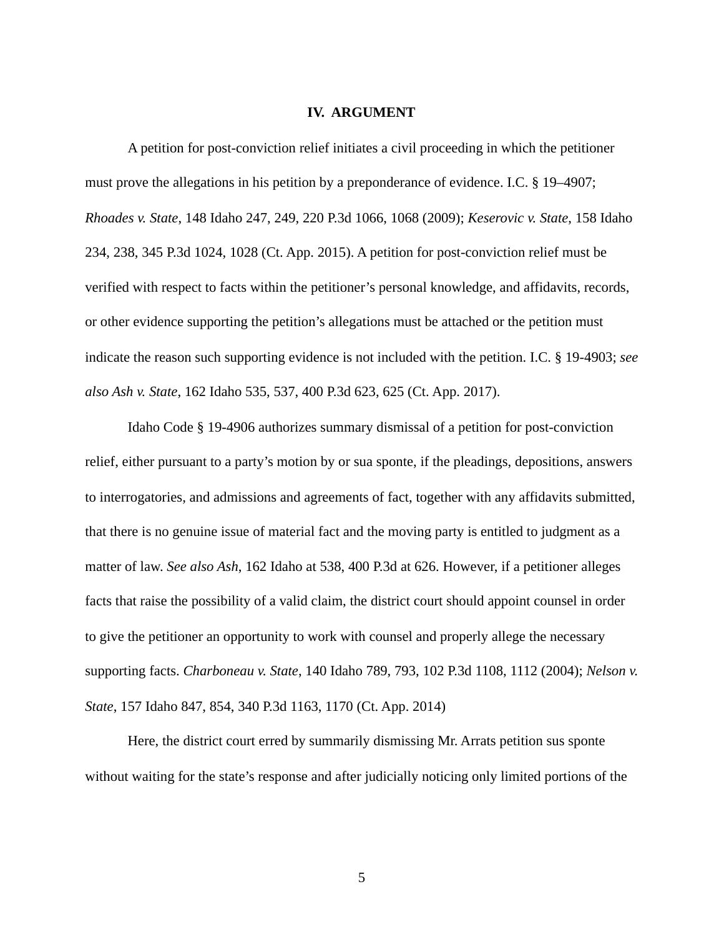#### **IV. ARGUMENT**

 A petition for post-conviction relief initiates a civil proceeding in which the petitioner must prove the allegations in his petition by a preponderance of evidence. I.C. § 19–4907; *Rhoades v. State*, 148 Idaho 247, 249, 220 P.3d 1066, 1068 (2009); *Keserovic v. State*, 158 Idaho 234, 238, 345 P.3d 1024, 1028 (Ct. App. 2015). A petition for post-conviction relief must be verified with respect to facts within the petitioner's personal knowledge, and affidavits, records, or other evidence supporting the petition's allegations must be attached or the petition must indicate the reason such supporting evidence is not included with the petition. I.C. § 19-4903; *see also Ash v. State*, 162 Idaho 535, 537, 400 P.3d 623, 625 (Ct. App. 2017).

 Idaho Code § 19-4906 authorizes summary dismissal of a petition for post-conviction relief, either pursuant to a party's motion by or sua sponte, if the pleadings, depositions, answers to interrogatories, and admissions and agreements of fact, together with any affidavits submitted, that there is no genuine issue of material fact and the moving party is entitled to judgment as a matter of law. *See also Ash*, 162 Idaho at 538, 400 P.3d at 626. However, if a petitioner alleges facts that raise the possibility of a valid claim, the district court should appoint counsel in order to give the petitioner an opportunity to work with counsel and properly allege the necessary supporting facts. *Charboneau v. State*, 140 Idaho 789, 793, 102 P.3d 1108, 1112 (2004); *Nelson v. State*, 157 Idaho 847, 854, 340 P.3d 1163, 1170 (Ct. App. 2014)

 Here, the district court erred by summarily dismissing Mr. Arrats petition sus sponte without waiting for the state's response and after judicially noticing only limited portions of the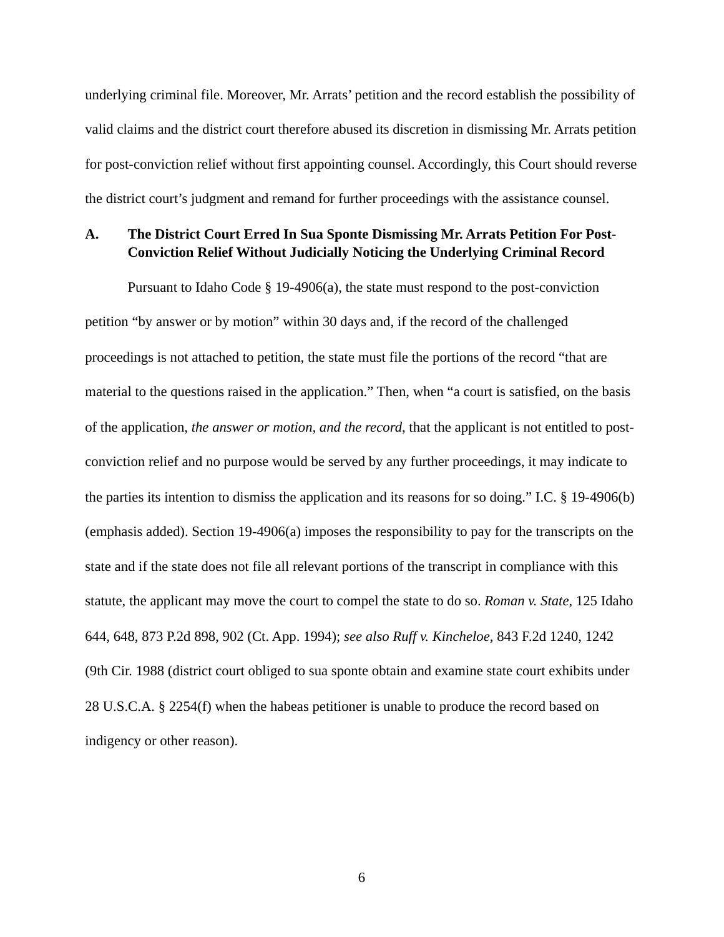underlying criminal file. Moreover, Mr. Arrats' petition and the record establish the possibility of valid claims and the district court therefore abused its discretion in dismissing Mr. Arrats petition for post-conviction relief without first appointing counsel. Accordingly, this Court should reverse the district court's judgment and remand for further proceedings with the assistance counsel.

### **A. The District Court Erred In Sua Sponte Dismissing Mr. Arrats Petition For Post- Conviction Relief Without Judicially Noticing the Underlying Criminal Record**

Pursuant to Idaho Code  $\S$  19-4906(a), the state must respond to the post-conviction petition "by answer or by motion" within 30 days and, if the record of the challenged proceedings is not attached to petition, the state must file the portions of the record "that are material to the questions raised in the application." Then, when "a court is satisfied, on the basis of the application, *the answer or motion, and the record*, that the applicant is not entitled to postconviction relief and no purpose would be served by any further proceedings, it may indicate to the parties its intention to dismiss the application and its reasons for so doing." I.C. § 19-4906(b) (emphasis added). Section 19-4906(a) imposes the responsibility to pay for the transcripts on the state and if the state does not file all relevant portions of the transcript in compliance with this statute, the applicant may move the court to compel the state to do so. *Roman v. State*, 125 Idaho 644, 648, 873 P.2d 898, 902 (Ct. App. 1994); *see also Ruff v. Kincheloe*, 843 F.2d 1240, 1242 (9th Cir. 1988 (district court obliged to sua sponte obtain and examine state court exhibits under 28 U.S.C.A. § 2254(f) when the habeas petitioner is unable to produce the record based on indigency or other reason).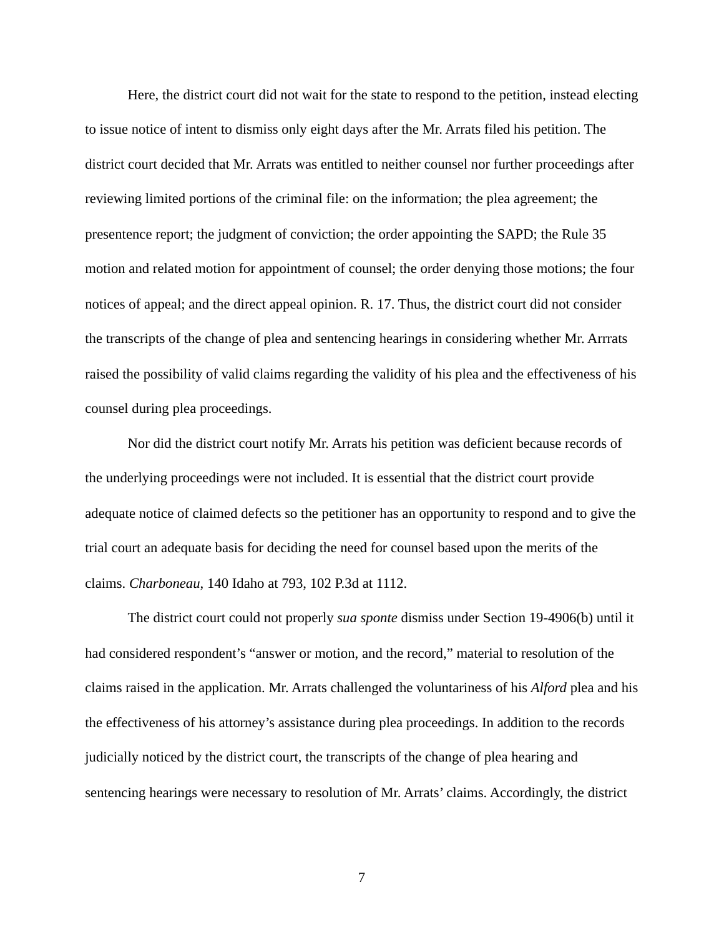Here, the district court did not wait for the state to respond to the petition, instead electing to issue notice of intent to dismiss only eight days after the Mr. Arrats filed his petition. The district court decided that Mr. Arrats was entitled to neither counsel nor further proceedings after reviewing limited portions of the criminal file: on the information; the plea agreement; the presentence report; the judgment of conviction; the order appointing the SAPD; the Rule 35 motion and related motion for appointment of counsel; the order denying those motions; the four notices of appeal; and the direct appeal opinion. R. 17. Thus, the district court did not consider the transcripts of the change of plea and sentencing hearings in considering whether Mr. Arrrats raised the possibility of valid claims regarding the validity of his plea and the effectiveness of his counsel during plea proceedings.

 Nor did the district court notify Mr. Arrats his petition was deficient because records of the underlying proceedings were not included. It is essential that the district court provide adequate notice of claimed defects so the petitioner has an opportunity to respond and to give the trial court an adequate basis for deciding the need for counsel based upon the merits of the claims. *Charboneau*, 140 Idaho at 793, 102 P.3d at 1112.

 The district court could not properly *sua sponte* dismiss under Section 19-4906(b) until it had considered respondent's "answer or motion, and the record," material to resolution of the claims raised in the application. Mr. Arrats challenged the voluntariness of his *Alford* plea and his the effectiveness of his attorney's assistance during plea proceedings. In addition to the records judicially noticed by the district court, the transcripts of the change of plea hearing and sentencing hearings were necessary to resolution of Mr. Arrats' claims. Accordingly, the district

7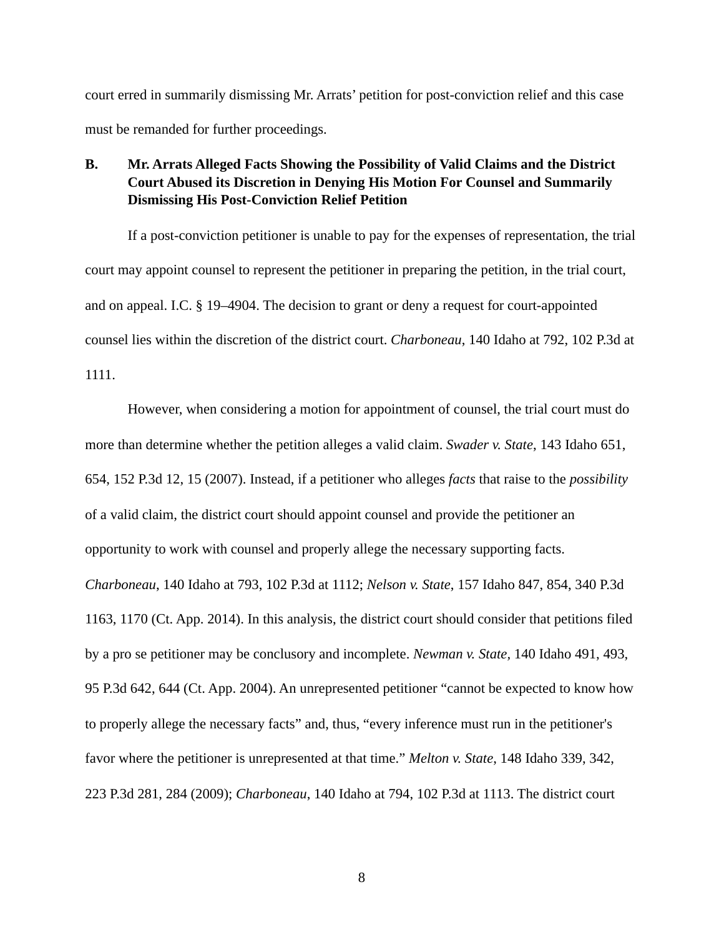court erred in summarily dismissing Mr. Arrats' petition for post-conviction relief and this case must be remanded for further proceedings.

## **B. Mr. Arrats Alleged Facts Showing the Possibility of Valid Claims and the District Court Abused its Discretion in Denying His Motion For Counsel and Summarily Dismissing His Post-Conviction Relief Petition**

 If a post-conviction petitioner is unable to pay for the expenses of representation, the trial court may appoint counsel to represent the petitioner in preparing the petition, in the trial court, and on appeal. I.C. § 19–4904. The decision to grant or deny a request for court-appointed counsel lies within the discretion of the district court. *Charboneau*, 140 Idaho at 792, 102 P.3d at 1111.

 However, when considering a motion for appointment of counsel, the trial court must do more than determine whether the petition alleges a valid claim. *Swader v. State*, 143 Idaho 651, 654, 152 P.3d 12, 15 (2007). Instead, if a petitioner who alleges *facts* that raise to the *possibility* of a valid claim, the district court should appoint counsel and provide the petitioner an opportunity to work with counsel and properly allege the necessary supporting facts. *Charboneau*, 140 Idaho at 793, 102 P.3d at 1112; *Nelson v. State*, 157 Idaho 847, 854, 340 P.3d 1163, 1170 (Ct. App. 2014). In this analysis, the district court should consider that petitions filed by a pro se petitioner may be conclusory and incomplete. *Newman v. State,* 140 Idaho 491, 493, 95 P.3d 642, 644 (Ct. App. 2004). An unrepresented petitioner "cannot be expected to know how to properly allege the necessary facts" and, thus, "every inference must run in the petitioner's favor where the petitioner is unrepresented at that time." *Melton v. State*, 148 Idaho 339, 342, 223 P.3d 281, 284 (2009); *Charboneau*, 140 Idaho at 794, 102 P.3d at 1113. The district court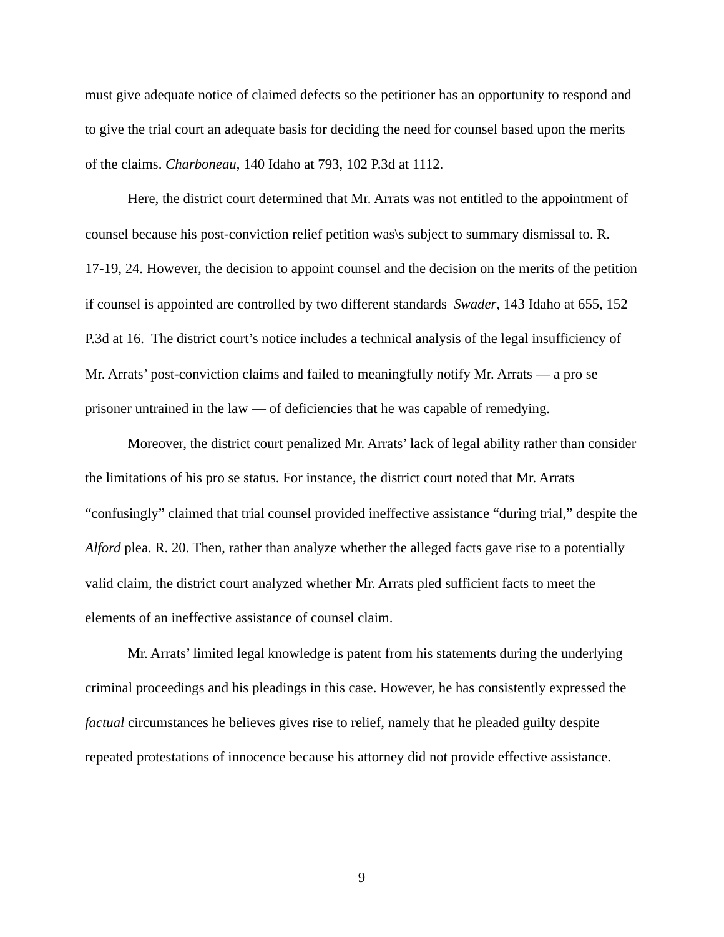must give adequate notice of claimed defects so the petitioner has an opportunity to respond and to give the trial court an adequate basis for deciding the need for counsel based upon the merits of the claims. *Charboneau*, 140 Idaho at 793, 102 P.3d at 1112.

 Here, the district court determined that Mr. Arrats was not entitled to the appointment of counsel because his post-conviction relief petition was\s subject to summary dismissal to. R. 17-19, 24. However, the decision to appoint counsel and the decision on the merits of the petition if counsel is appointed are controlled by two different standards *Swader*, 143 Idaho at 655, 152 P.3d at 16. The district court's notice includes a technical analysis of the legal insufficiency of Mr. Arrats' post-conviction claims and failed to meaningfully notify Mr. Arrats — a pro se prisoner untrained in the law — of deficiencies that he was capable of remedying.

 Moreover, the district court penalized Mr. Arrats' lack of legal ability rather than consider the limitations of his pro se status. For instance, the district court noted that Mr. Arrats "confusingly" claimed that trial counsel provided ineffective assistance "during trial," despite the *Alford* plea. R. 20. Then, rather than analyze whether the alleged facts gave rise to a potentially valid claim, the district court analyzed whether Mr. Arrats pled sufficient facts to meet the elements of an ineffective assistance of counsel claim.

 Mr. Arrats' limited legal knowledge is patent from his statements during the underlying criminal proceedings and his pleadings in this case. However, he has consistently expressed the *factual* circumstances he believes gives rise to relief, namely that he pleaded guilty despite repeated protestations of innocence because his attorney did not provide effective assistance.

9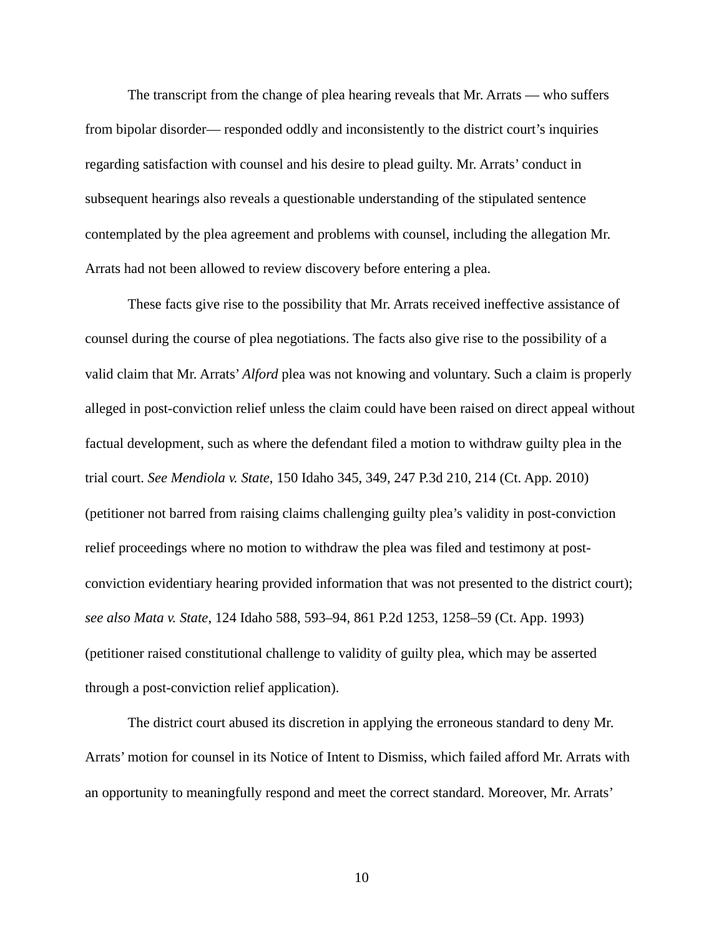The transcript from the change of plea hearing reveals that Mr. Arrats — who suffers from bipolar disorder— responded oddly and inconsistently to the district court's inquiries regarding satisfaction with counsel and his desire to plead guilty. Mr. Arrats' conduct in subsequent hearings also reveals a questionable understanding of the stipulated sentence contemplated by the plea agreement and problems with counsel, including the allegation Mr. Arrats had not been allowed to review discovery before entering a plea.

 These facts give rise to the possibility that Mr. Arrats received ineffective assistance of counsel during the course of plea negotiations. The facts also give rise to the possibility of a valid claim that Mr. Arrats' *Alford* plea was not knowing and voluntary. Such a claim is properly alleged in post-conviction relief unless the claim could have been raised on direct appeal without factual development, such as where the defendant filed a motion to withdraw guilty plea in the trial court. *See Mendiola v. State*, 150 Idaho 345, 349, 247 P.3d 210, 214 (Ct. App. 2010) (petitioner not barred from raising claims challenging guilty plea's validity in post-conviction relief proceedings where no motion to withdraw the plea was filed and testimony at postconviction evidentiary hearing provided information that was not presented to the district court); *see also Mata v. State*, 124 Idaho 588, 593–94, 861 P.2d 1253, 1258–59 (Ct. App. 1993) (petitioner raised constitutional challenge to validity of guilty plea, which may be asserted through a post-conviction relief application).

 The district court abused its discretion in applying the erroneous standard to deny Mr. Arrats' motion for counsel in its Notice of Intent to Dismiss, which failed afford Mr. Arrats with an opportunity to meaningfully respond and meet the correct standard. Moreover, Mr. Arrats'